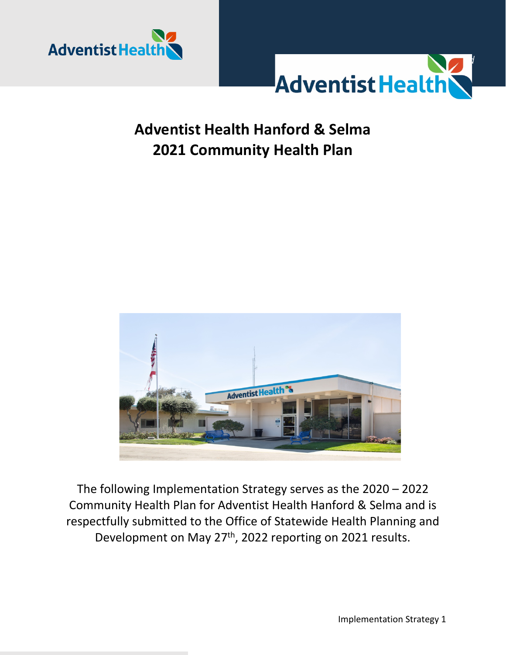



# **Adventist Health Hanford & Selma 2021 Community Health Plan**



The following Implementation Strategy serves as the 2020 – 2022 Community Health Plan for Adventist Health Hanford & Selma and is respectfully submitted to the Office of Statewide Health Planning and Development on May 27<sup>th</sup>, 2022 reporting on 2021 results.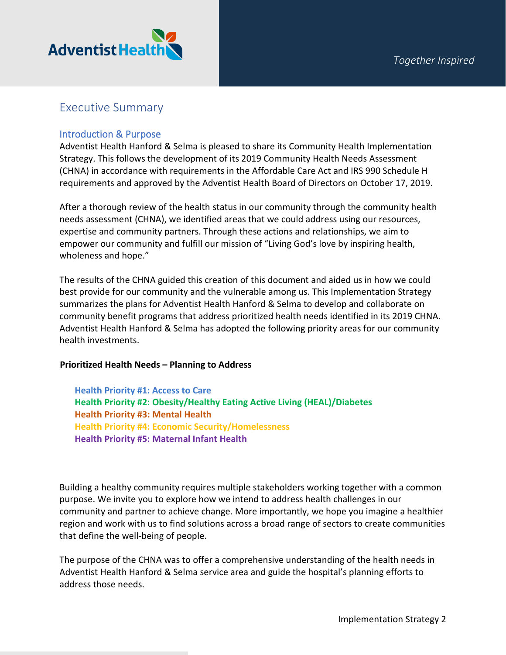

### Executive Summary

#### Introduction & Purpose

Adventist Health Hanford & Selma is pleased to share its Community Health Implementation Strategy. This follows the development of its 2019 Community Health Needs Assessment (CHNA) in accordance with requirements in the Affordable Care Act and IRS 990 Schedule H requirements and approved by the Adventist Health Board of Directors on October 17, 2019.

After a thorough review of the health status in our community through the community health needs assessment (CHNA), we identified areas that we could address using our resources, expertise and community partners. Through these actions and relationships, we aim to empower our community and fulfill our mission of "Living God's love by inspiring health, wholeness and hope."

The results of the CHNA guided this creation of this document and aided us in how we could best provide for our community and the vulnerable among us. This Implementation Strategy summarizes the plans for Adventist Health Hanford & Selma to develop and collaborate on community benefit programs that address prioritized health needs identified in its 2019 CHNA. Adventist Health Hanford & Selma has adopted the following priority areas for our community health investments.

#### **Prioritized Health Needs – Planning to Address**

**Health Priority #1: Access to Care Health Priority #2: Obesity/Healthy Eating Active Living (HEAL)/Diabetes Health Priority #3: Mental Health Health Priority #4: Economic Security/Homelessness Health Priority #5: Maternal Infant Health**

Building a healthy community requires multiple stakeholders working together with a common purpose. We invite you to explore how we intend to address health challenges in our community and partner to achieve change. More importantly, we hope you imagine a healthier region and work with us to find solutions across a broad range of sectors to create communities that define the well-being of people.

The purpose of the CHNA was to offer a comprehensive understanding of the health needs in Adventist Health Hanford & Selma service area and guide the hospital's planning efforts to address those needs.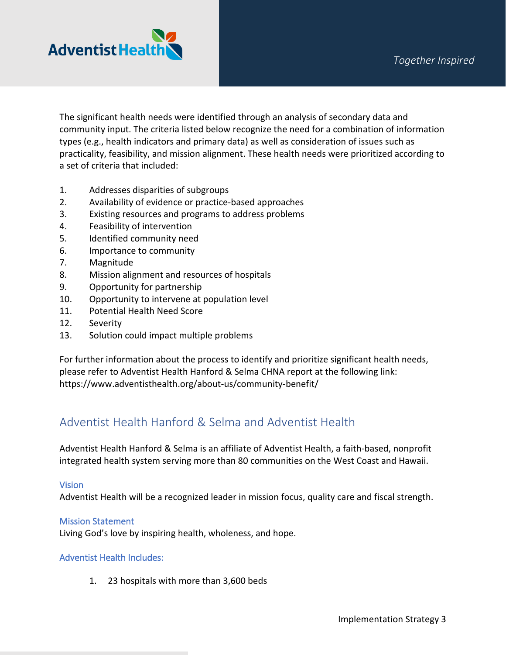

The significant health needs were identified through an analysis of secondary data and community input. The criteria listed below recognize the need for a combination of information types (e.g., health indicators and primary data) as well as consideration of issues such as practicality, feasibility, and mission alignment. These health needs were prioritized according to a set of criteria that included:

- 1. Addresses disparities of subgroups
- 2. Availability of evidence or practice-based approaches
- 3. Existing resources and programs to address problems
- 4. Feasibility of intervention
- 5. Identified community need
- 6. Importance to community
- 7. Magnitude
- 8. Mission alignment and resources of hospitals
- 9. Opportunity for partnership
- 10. Opportunity to intervene at population level
- 11. Potential Health Need Score
- 12. Severity
- 13. Solution could impact multiple problems

For further information about the process to identify and prioritize significant health needs, please refer to Adventist Health Hanford & Selma CHNA report at the following link: <https://www.adventisthealth.org/about-us/community-benefit/>

### Adventist Health Hanford & Selma and Adventist Health

Adventist Health Hanford & Selma is an affiliate of Adventist Health, a faith-based, nonprofit integrated health system serving more than 80 communities on the West Coast and Hawaii.

#### Vision

Adventist Health will be a recognized leader in mission focus, quality care and fiscal strength.

#### Mission Statement

Living God's love by inspiring health, wholeness, and hope.

#### Adventist Health Includes:

1. 23 hospitals with more than 3,600 beds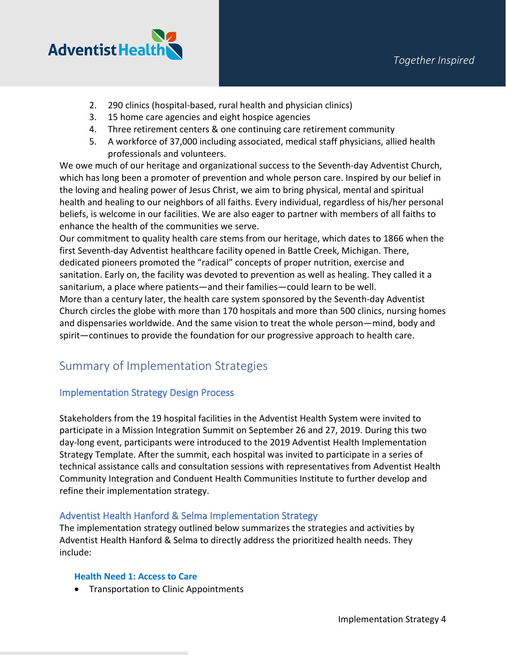

- 2. 290 clinics (hospital-based, rural health and physician clinics)
- 3. 15 home care agencies and eight hospice agencies
- 4. Three retirement centers & one continuing care retirement community
- 5. A workforce of 37,000 including associated, medical staff physicians, allied health professionals and volunteers.

We owe much of our heritage and organizational success to the Seventh-day Adventist Church, which has long been a promoter of prevention and whole person care. Inspired by our belief in the loving and healing power of Jesus Christ, we aim to bring physical, mental and spiritual health and healing to our neighbors of all faiths. Every individual, regardless of his/her personal beliefs, is welcome in our facilities. We are also eager to partner with members of all faiths to enhance the health of the communities we serve.

Our commitment to quality health care stems from our heritage, which dates to 1866 when the first Seventh-day Adventist healthcare facility opened in Battle Creek, Michigan. There, dedicated pioneers promoted the "radical" concepts of proper nutrition, exercise and sanitation. Early on, the facility was devoted to prevention as well as healing. They called it a sanitarium, a place where patients—and their families—could learn to be well. More than a century later, the health care system sponsored by the Seventh-day Adventist

Church circles the globe with more than 170 hospitals and more than 500 clinics, nursing homes and dispensaries worldwide. And the same vision to treat the whole person—mind, body and spirit—continues to provide the foundation for our progressive approach to health care.

### Summary of Implementation Strategies

#### Implementation Strategy Design Process

Stakeholders from the 19 hospital facilities in the Adventist Health System were invited to participate in a Mission Integration Summit on September 26 and 27, 2019. During this two day-long event, participants were introduced to the 2019 Adventist Health Implementation Strategy Template. After the summit, each hospital was invited to participate in a series of technical assistance calls and consultation sessions with representatives from Adventist Health Community Integration and Conduent Health Communities Institute to further develop and refine their implementation strategy.

#### Adventist Health Hanford & Selma Implementation Strategy

The implementation strategy outlined below summarizes the strategies and activities by Adventist Health Hanford & Selma to directly address the prioritized health needs. They include:

#### **Health Need 1: Access to Care**

• Transportation to Clinic Appointments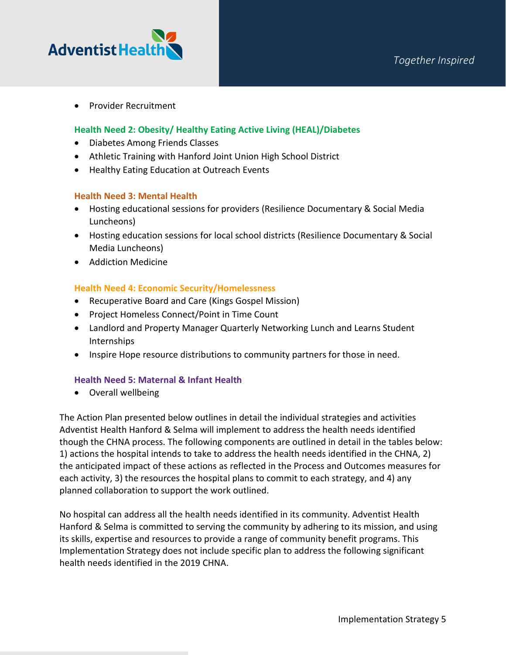

• Provider Recruitment

#### **Health Need 2: Obesity/ Healthy Eating Active Living (HEAL)/Diabetes**

- Diabetes Among Friends Classes
- Athletic Training with Hanford Joint Union High School District
- Healthy Eating Education at Outreach Events

#### **Health Need 3: Mental Health**

- Hosting educational sessions for providers (Resilience Documentary & Social Media Luncheons)
- Hosting education sessions for local school districts (Resilience Documentary & Social Media Luncheons)
- Addiction Medicine

#### **Health Need 4: Economic Security/Homelessness**

- Recuperative Board and Care (Kings Gospel Mission)
- Project Homeless Connect/Point in Time Count
- Landlord and Property Manager Quarterly Networking Lunch and Learns Student Internships
- Inspire Hope resource distributions to community partners for those in need.

#### **Health Need 5: Maternal & Infant Health**

• Overall wellbeing

The Action Plan presented below outlines in detail the individual strategies and activities Adventist Health Hanford & Selma will implement to address the health needs identified though the CHNA process. The following components are outlined in detail in the tables below: 1) actions the hospital intends to take to address the health needs identified in the CHNA, 2) the anticipated impact of these actions as reflected in the Process and Outcomes measures for each activity, 3) the resources the hospital plans to commit to each strategy, and 4) any planned collaboration to support the work outlined.

No hospital can address all the health needs identified in its community. Adventist Health Hanford & Selma is committed to serving the community by adhering to its mission, and using its skills, expertise and resources to provide a range of community benefit programs. This Implementation Strategy does not include specific plan to address the following significant health needs identified in the 2019 CHNA.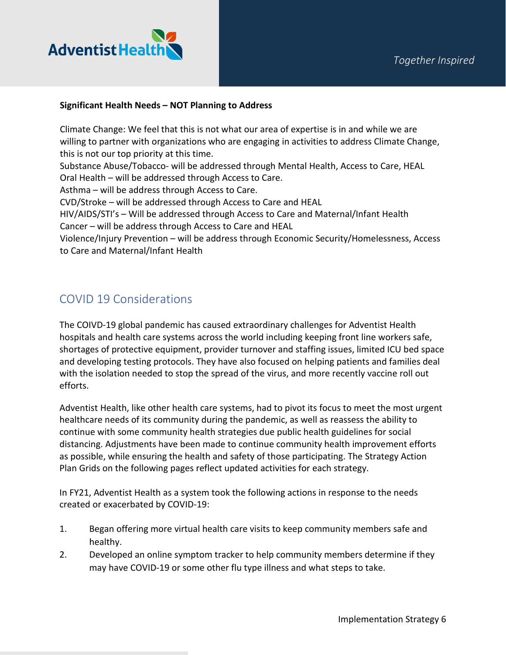

#### **Significant Health Needs – NOT Planning to Address**

Climate Change: We feel that this is not what our area of expertise is in and while we are willing to partner with organizations who are engaging in activities to address Climate Change, this is not our top priority at this time.

Substance Abuse/Tobacco- will be addressed through Mental Health, Access to Care, HEAL Oral Health – will be addressed through Access to Care.

Asthma – will be address through Access to Care.

CVD/Stroke – will be addressed through Access to Care and HEAL

HIV/AIDS/STI's – Will be addressed through Access to Care and Maternal/Infant Health Cancer – will be address through Access to Care and HEAL

Violence/Injury Prevention – will be address through Economic Security/Homelessness, Access to Care and Maternal/Infant Health

### COVID 19 Considerations

The COIVD-19 global pandemic has caused extraordinary challenges for Adventist Health hospitals and health care systems across the world including keeping front line workers safe, shortages of protective equipment, provider turnover and staffing issues, limited ICU bed space and developing testing protocols. They have also focused on helping patients and families deal with the isolation needed to stop the spread of the virus, and more recently vaccine roll out efforts.

Adventist Health, like other health care systems, had to pivot its focus to meet the most urgent healthcare needs of its community during the pandemic, as well as reassess the ability to continue with some community health strategies due public health guidelines for social distancing. Adjustments have been made to continue community health improvement efforts as possible, while ensuring the health and safety of those participating. The Strategy Action Plan Grids on the following pages reflect updated activities for each strategy.

In FY21, Adventist Health as a system took the following actions in response to the needs created or exacerbated by COVID-19:

- 1. Began offering more virtual health care visits to keep community members safe and healthy.
- 2. Developed an online symptom tracker to help community members determine if they may have COVID-19 or some other flu type illness and what steps to take.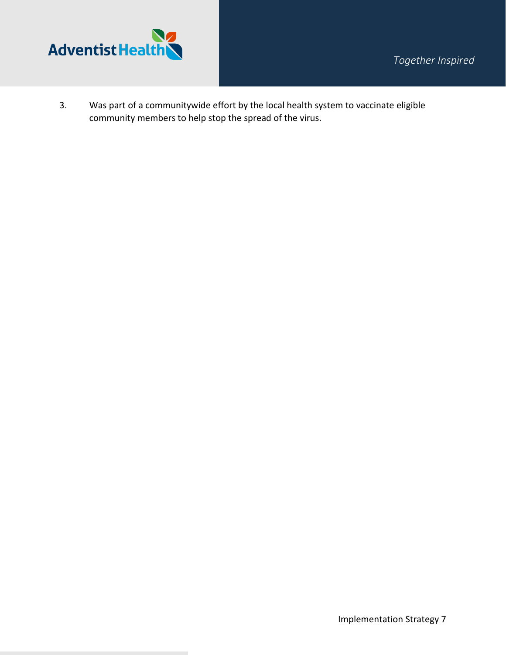

3. Was part of a communitywide effort by the local health system to vaccinate eligible community members to help stop the spread of the virus.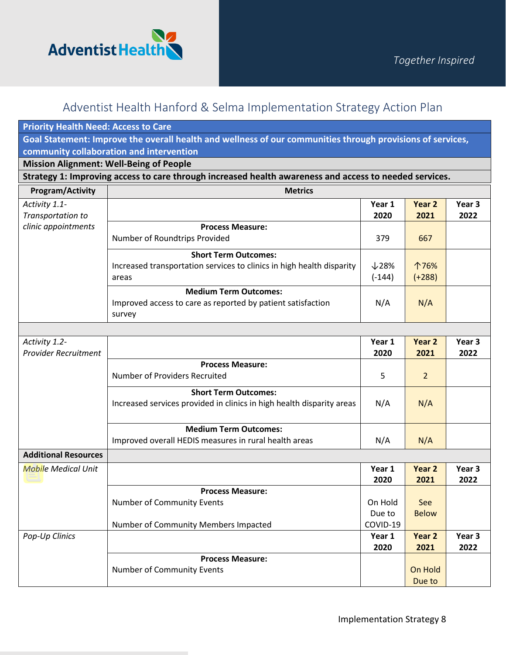

| <b>Priority Health Need: Access to Care</b>  |                                                                                                               |                               |                           |                           |
|----------------------------------------------|---------------------------------------------------------------------------------------------------------------|-------------------------------|---------------------------|---------------------------|
|                                              | Goal Statement: Improve the overall health and wellness of our communities through provisions of services,    |                               |                           |                           |
|                                              | community collaboration and intervention                                                                      |                               |                           |                           |
|                                              | <b>Mission Alignment: Well-Being of People</b>                                                                |                               |                           |                           |
|                                              | Strategy 1: Improving access to care through increased health awareness and access to needed services.        |                               |                           |                           |
| <b>Program/Activity</b>                      | <b>Metrics</b>                                                                                                |                               |                           |                           |
| Activity 1.1-<br>Transportation to           |                                                                                                               | Year 1<br>2020                | Year 2<br>2021            | Year <sub>3</sub><br>2022 |
| clinic appointments                          | <b>Process Measure:</b><br>Number of Roundtrips Provided                                                      | 379                           | 667                       |                           |
|                                              | <b>Short Term Outcomes:</b><br>Increased transportation services to clinics in high health disparity<br>areas | $\downarrow$ 28%<br>$(-144)$  | 个76%<br>$(+288)$          |                           |
|                                              | <b>Medium Term Outcomes:</b><br>Improved access to care as reported by patient satisfaction<br>survey         | N/A                           | N/A                       |                           |
|                                              |                                                                                                               |                               |                           |                           |
| Activity 1.2-<br><b>Provider Recruitment</b> |                                                                                                               | Year 1<br>2020                | Year 2<br>2021            | Year <sub>3</sub><br>2022 |
|                                              | <b>Process Measure:</b><br>Number of Providers Recruited                                                      | 5                             | $\overline{2}$            |                           |
|                                              | <b>Short Term Outcomes:</b><br>Increased services provided in clinics in high health disparity areas          | N/A                           | N/A                       |                           |
|                                              | <b>Medium Term Outcomes:</b><br>Improved overall HEDIS measures in rural health areas                         | N/A                           | N/A                       |                           |
| <b>Additional Resources</b>                  |                                                                                                               |                               |                           |                           |
| <b>Mobile Medical Unit</b>                   |                                                                                                               | Year 1<br>2020                | Year <sub>2</sub><br>2021 | Year 3<br>2022            |
|                                              | <b>Process Measure:</b><br>Number of Community Events<br>Number of Community Members Impacted                 | On Hold<br>Due to<br>COVID-19 | See<br><b>Below</b>       |                           |
| Pop-Up Clinics                               |                                                                                                               | Year 1<br>2020                | Year <sub>2</sub><br>2021 | Year <sub>3</sub><br>2022 |
|                                              | <b>Process Measure:</b><br>Number of Community Events                                                         |                               | On Hold<br>Due to         |                           |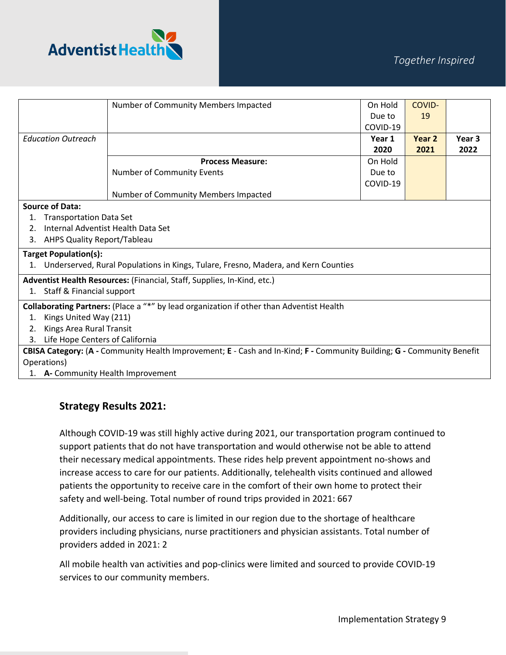

|                                                                                                                        |                                    | Number of Community Members Impacted                                               | On Hold  | COVID- |                   |
|------------------------------------------------------------------------------------------------------------------------|------------------------------------|------------------------------------------------------------------------------------|----------|--------|-------------------|
|                                                                                                                        |                                    |                                                                                    | Due to   | 19     |                   |
|                                                                                                                        |                                    |                                                                                    | COVID-19 |        |                   |
|                                                                                                                        | <b>Education Outreach</b>          |                                                                                    | Year 1   | Year 2 | Year <sub>3</sub> |
|                                                                                                                        |                                    |                                                                                    | 2020     | 2021   | 2022              |
|                                                                                                                        |                                    | <b>Process Measure:</b>                                                            | On Hold  |        |                   |
|                                                                                                                        |                                    | Number of Community Events                                                         | Due to   |        |                   |
|                                                                                                                        |                                    |                                                                                    | COVID-19 |        |                   |
|                                                                                                                        |                                    | Number of Community Members Impacted                                               |          |        |                   |
|                                                                                                                        | <b>Source of Data:</b>             |                                                                                    |          |        |                   |
| 1.                                                                                                                     | <b>Transportation Data Set</b>     |                                                                                    |          |        |                   |
| 2.                                                                                                                     |                                    | Internal Adventist Health Data Set                                                 |          |        |                   |
| 3.                                                                                                                     | AHPS Quality Report/Tableau        |                                                                                    |          |        |                   |
|                                                                                                                        | <b>Target Population(s):</b>       |                                                                                    |          |        |                   |
|                                                                                                                        |                                    | Underserved, Rural Populations in Kings, Tulare, Fresno, Madera, and Kern Counties |          |        |                   |
| Adventist Health Resources: (Financial, Staff, Supplies, In-Kind, etc.)                                                |                                    |                                                                                    |          |        |                   |
| 1.                                                                                                                     | Staff & Financial support          |                                                                                    |          |        |                   |
| Collaborating Partners: (Place a "*" by lead organization if other than Adventist Health                               |                                    |                                                                                    |          |        |                   |
| 1.                                                                                                                     | Kings United Way (211)             |                                                                                    |          |        |                   |
| 2.                                                                                                                     | Kings Area Rural Transit           |                                                                                    |          |        |                   |
| 3.                                                                                                                     | Life Hope Centers of California    |                                                                                    |          |        |                   |
| CBISA Category: (A - Community Health Improvement; E - Cash and In-Kind; F - Community Building; G - Community Benefit |                                    |                                                                                    |          |        |                   |
| Operations)                                                                                                            |                                    |                                                                                    |          |        |                   |
|                                                                                                                        | 1. A- Community Health Improvement |                                                                                    |          |        |                   |

#### **Strategy Results 2021:**

Although COVID-19 was still highly active during 2021, our transportation program continued to support patients that do not have transportation and would otherwise not be able to attend their necessary medical appointments. These rides help prevent appointment no-shows and increase access to care for our patients. Additionally, telehealth visits continued and allowed patients the opportunity to receive care in the comfort of their own home to protect their safety and well-being. Total number of round trips provided in 2021: 667

Additionally, our access to care is limited in our region due to the shortage of healthcare providers including physicians, nurse practitioners and physician assistants. Total number of providers added in 2021: 2

All mobile health van activities and pop-clinics were limited and sourced to provide COVID-19 services to our community members.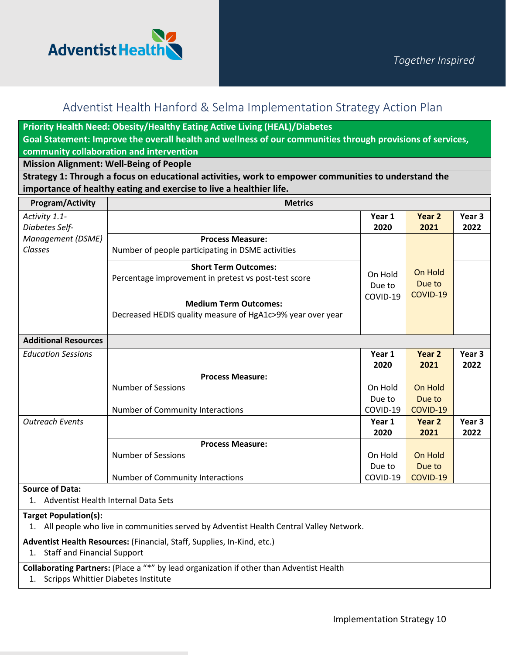

**Priority Health Need: Obesity/Healthy Eating Active Living (HEAL)/Diabetes** 

**Goal Statement: Improve the overall health and wellness of our communities through provisions of services, community collaboration and intervention**

**Mission Alignment: Well-Being of People**

**Strategy 1: Through a focus on educational activities, work to empower communities to understand the importance of healthy eating and exercise to live a healthier life.**

| <b>Program/Activity</b>                                                                                                  | <b>Metrics</b>                                                                             |                               |                               |                |
|--------------------------------------------------------------------------------------------------------------------------|--------------------------------------------------------------------------------------------|-------------------------------|-------------------------------|----------------|
| Activity 1.1-<br>Diabetes Self-                                                                                          |                                                                                            | Year 1<br>2020                | Year 2<br>2021                | Year 3<br>2022 |
| Management (DSME)<br>Classes                                                                                             | <b>Process Measure:</b><br>Number of people participating in DSME activities               |                               |                               |                |
|                                                                                                                          | <b>Short Term Outcomes:</b><br>Percentage improvement in pretest vs post-test score        | On Hold<br>Due to<br>COVID-19 | On Hold<br>Due to<br>COVID-19 |                |
|                                                                                                                          | <b>Medium Term Outcomes:</b><br>Decreased HEDIS quality measure of HgA1c>9% year over year |                               |                               |                |
| <b>Additional Resources</b>                                                                                              |                                                                                            |                               |                               |                |
| <b>Education Sessions</b>                                                                                                |                                                                                            | Year 1<br>2020                | Year 2<br>2021                | Year 3<br>2022 |
|                                                                                                                          | <b>Process Measure:</b>                                                                    |                               |                               |                |
|                                                                                                                          | <b>Number of Sessions</b>                                                                  | On Hold                       | On Hold                       |                |
|                                                                                                                          |                                                                                            | Due to                        | Due to                        |                |
|                                                                                                                          | Number of Community Interactions                                                           | COVID-19                      | COVID-19                      |                |
| <b>Outreach Events</b>                                                                                                   |                                                                                            | Year 1<br>2020                | Year 2<br>2021                | Year 3<br>2022 |
|                                                                                                                          | <b>Process Measure:</b>                                                                    |                               |                               |                |
|                                                                                                                          | <b>Number of Sessions</b>                                                                  | On Hold                       | On Hold                       |                |
|                                                                                                                          |                                                                                            | Due to                        | Due to                        |                |
|                                                                                                                          | Number of Community Interactions                                                           | COVID-19                      | COVID-19                      |                |
| <b>Source of Data:</b><br>1. Adventist Health Internal Data Sets                                                         |                                                                                            |                               |                               |                |
| <b>Target Population(s):</b><br>1. All people who live in communities served by Adventist Health Central Valley Network. |                                                                                            |                               |                               |                |
| Adventist Health Resources: (Financial, Staff, Supplies, In-Kind, etc.)<br>1. Staff and Financial Support                |                                                                                            |                               |                               |                |
| Collaborating Partners: (Place a "*" by lead organization if other than Adventist Health                                 |                                                                                            |                               |                               |                |
| 1. Scripps Whittier Diabetes Institute                                                                                   |                                                                                            |                               |                               |                |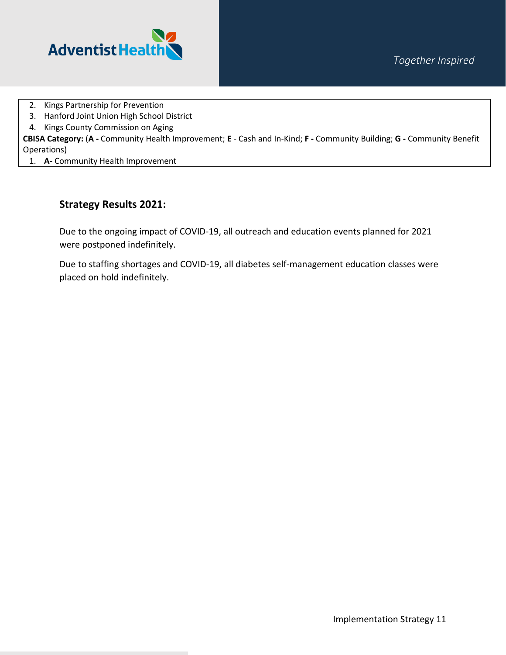



- 2. Kings Partnership for Prevention
- 3. Hanford Joint Union High School District
- 4. Kings County Commission on Aging

**CBISA Category:** (**A -** Community Health Improvement; **E** - Cash and In-Kind; **F -** Community Building; **G -** Community Benefit Operations)

1. **A-** Community Health Improvement

#### **Strategy Results 2021:**

Due to the ongoing impact of COVID-19, all outreach and education events planned for 2021 were postponed indefinitely.

Due to staffing shortages and COVID-19, all diabetes self-management education classes were placed on hold indefinitely.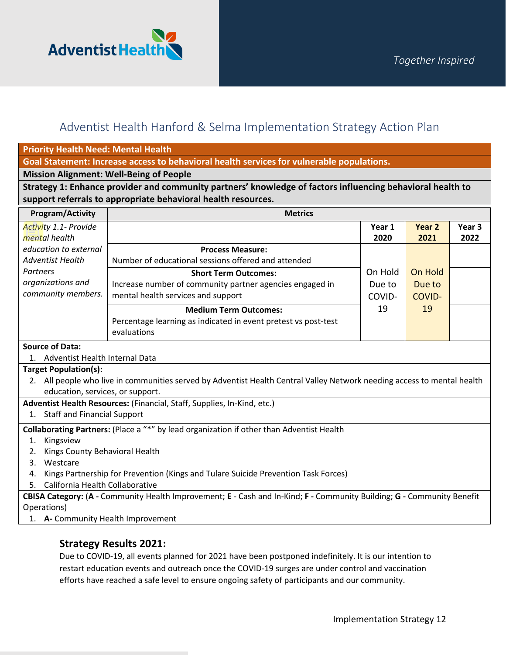

**Priority Health Need: Mental Health**

**Goal Statement: Increase access to behavioral health services for vulnerable populations.** 

#### **Mission Alignment: Well-Being of People**

**Strategy 1: Enhance provider and community partners' knowledge of factors influencing behavioral health to support referrals to appropriate behavioral health resources.**

| <b>Program/Activity</b>                                                                                                | <b>Metrics</b>                                                                                                          |         |               |        |  |
|------------------------------------------------------------------------------------------------------------------------|-------------------------------------------------------------------------------------------------------------------------|---------|---------------|--------|--|
| Activity 1.1- Provide                                                                                                  |                                                                                                                         | Year 1  | Year 2        | Year 3 |  |
| mental health                                                                                                          |                                                                                                                         | 2020    | 2021          | 2022   |  |
| education to external                                                                                                  | <b>Process Measure:</b>                                                                                                 |         |               |        |  |
| <b>Adventist Health</b>                                                                                                | Number of educational sessions offered and attended                                                                     |         |               |        |  |
| Partners                                                                                                               | <b>Short Term Outcomes:</b>                                                                                             | On Hold | On Hold       |        |  |
| organizations and                                                                                                      | Increase number of community partner agencies engaged in                                                                | Due to  | Due to        |        |  |
| community members.                                                                                                     | mental health services and support                                                                                      | COVID-  | <b>COVID-</b> |        |  |
|                                                                                                                        | <b>Medium Term Outcomes:</b>                                                                                            | 19      | 19            |        |  |
|                                                                                                                        | Percentage learning as indicated in event pretest vs post-test                                                          |         |               |        |  |
|                                                                                                                        | evaluations                                                                                                             |         |               |        |  |
| <b>Source of Data:</b>                                                                                                 |                                                                                                                         |         |               |        |  |
| Adventist Health Internal Data<br>$1_{-}$                                                                              |                                                                                                                         |         |               |        |  |
| <b>Target Population(s):</b>                                                                                           |                                                                                                                         |         |               |        |  |
|                                                                                                                        | 2. All people who live in communities served by Adventist Health Central Valley Network needing access to mental health |         |               |        |  |
| education, services, or support.                                                                                       |                                                                                                                         |         |               |        |  |
|                                                                                                                        | Adventist Health Resources: (Financial, Staff, Supplies, In-Kind, etc.)                                                 |         |               |        |  |
| 1. Staff and Financial Support                                                                                         |                                                                                                                         |         |               |        |  |
|                                                                                                                        | Collaborating Partners: (Place a "*" by lead organization if other than Adventist Health                                |         |               |        |  |
| Kingsview<br>1.                                                                                                        |                                                                                                                         |         |               |        |  |
| Kings County Behavioral Health<br>2.                                                                                   |                                                                                                                         |         |               |        |  |
| Westcare<br>3.                                                                                                         |                                                                                                                         |         |               |        |  |
| Kings Partnership for Prevention (Kings and Tulare Suicide Prevention Task Forces)<br>4.                               |                                                                                                                         |         |               |        |  |
| California Health Collaborative<br>5.                                                                                  |                                                                                                                         |         |               |        |  |
| CBISA Category: (A - Community Health Improvement; E - Cash and In-Kind; F - Community Building; G - Community Benefit |                                                                                                                         |         |               |        |  |
| Operations)                                                                                                            |                                                                                                                         |         |               |        |  |
| A- Community Health Improvement<br>1.                                                                                  |                                                                                                                         |         |               |        |  |

#### **Strategy Results 2021:**

Due to COVID-19, all events planned for 2021 have been postponed indefinitely. It is our intention to restart education events and outreach once the COVID-19 surges are under control and vaccination efforts have reached a safe level to ensure ongoing safety of participants and our community.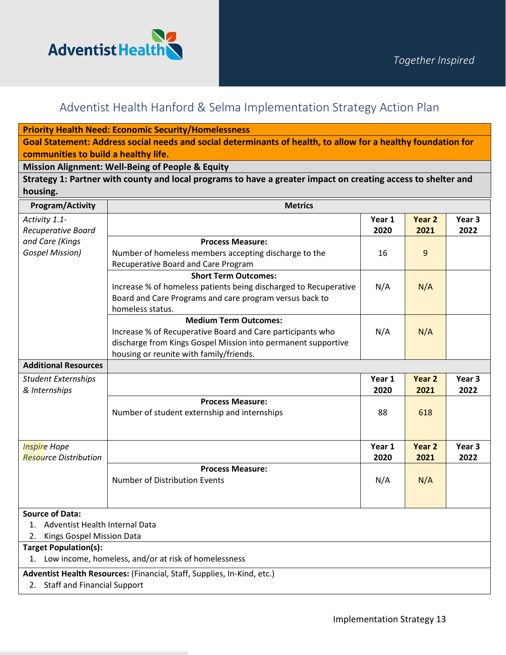

**Priority Health Need: Economic Security/Homelessness**

**Goal Statement: Address social needs and social determinants of health, to allow for a healthy foundation for communities to build a healthy life.** 

**Mission Alignment: Well-Being of People & Equity** 

**Strategy 1: Partner with county and local programs to have a greater impact on creating access to shelter and housing.**

| <b>Program/Activity</b>                                                 | <b>Metrics</b>                                                   |                |                           |                           |
|-------------------------------------------------------------------------|------------------------------------------------------------------|----------------|---------------------------|---------------------------|
| Activity 1.1-<br>Recuperative Board                                     |                                                                  | Year 1<br>2020 | Year <sub>2</sub><br>2021 | Year <sub>3</sub><br>2022 |
| and Care (Kings                                                         | <b>Process Measure:</b>                                          |                |                           |                           |
| <b>Gospel Mission)</b>                                                  | Number of homeless members accepting discharge to the            | 16             | 9                         |                           |
|                                                                         | Recuperative Board and Care Program                              |                |                           |                           |
|                                                                         | <b>Short Term Outcomes:</b>                                      |                |                           |                           |
|                                                                         | Increase % of homeless patients being discharged to Recuperative | N/A            | N/A                       |                           |
|                                                                         | Board and Care Programs and care program versus back to          |                |                           |                           |
|                                                                         | homeless status.                                                 |                |                           |                           |
|                                                                         | <b>Medium Term Outcomes:</b>                                     |                |                           |                           |
|                                                                         | Increase % of Recuperative Board and Care participants who       | N/A            | N/A                       |                           |
|                                                                         | discharge from Kings Gospel Mission into permanent supportive    |                |                           |                           |
|                                                                         | housing or reunite with family/friends.                          |                |                           |                           |
| <b>Additional Resources</b>                                             |                                                                  |                |                           |                           |
| <b>Student Externships</b>                                              |                                                                  | Year 1         | Year <sub>2</sub>         | Year <sub>3</sub>         |
| & Internships                                                           |                                                                  | 2020           | 2021                      | 2022                      |
|                                                                         | <b>Process Measure:</b>                                          |                |                           |                           |
|                                                                         | Number of student externship and internships                     | 88             | 618                       |                           |
|                                                                         |                                                                  |                |                           |                           |
| <b>Inspire Hope</b>                                                     |                                                                  | Year 1         | Year <sub>2</sub>         | Year <sub>3</sub>         |
| <b>Resource Distribution</b>                                            |                                                                  | 2020           | 2021                      | 2022                      |
|                                                                         | <b>Process Measure:</b>                                          |                |                           |                           |
|                                                                         | Number of Distribution Events                                    | N/A            | N/A                       |                           |
|                                                                         |                                                                  |                |                           |                           |
| <b>Source of Data:</b>                                                  |                                                                  |                |                           |                           |
| Adventist Health Internal Data<br>$1_{-}$                               |                                                                  |                |                           |                           |
| 2. Kings Gospel Mission Data                                            |                                                                  |                |                           |                           |
| <b>Target Population(s):</b>                                            |                                                                  |                |                           |                           |
| 1. Low income, homeless, and/or at risk of homelessness                 |                                                                  |                |                           |                           |
| Adventist Health Resources: (Financial, Staff, Supplies, In-Kind, etc.) |                                                                  |                |                           |                           |
| 2. Staff and Financial Support                                          |                                                                  |                |                           |                           |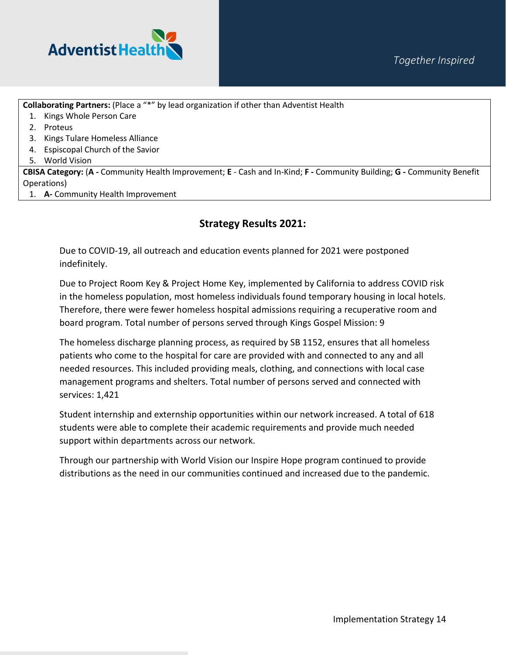

**Collaborating Partners:** (Place a "\*" by lead organization if other than Adventist Health

- 1. Kings Whole Person Care
- 2. Proteus
- 3. Kings Tulare Homeless Alliance
- 4. Espiscopal Church of the Savior
- 5. World Vision

**CBISA Category:** (**A -** Community Health Improvement; **E** - Cash and In-Kind; **F -** Community Building; **G -** Community Benefit Operations)

1. **A-** Community Health Improvement

### **Strategy Results 2021:**

Due to COVID-19, all outreach and education events planned for 2021 were postponed indefinitely.

Due to Project Room Key & Project Home Key, implemented by California to address COVID risk in the homeless population, most homeless individuals found temporary housing in local hotels. Therefore, there were fewer homeless hospital admissions requiring a recuperative room and board program. Total number of persons served through Kings Gospel Mission: 9

The homeless discharge planning process, as required by SB 1152, ensures that all homeless patients who come to the hospital for care are provided with and connected to any and all needed resources. This included providing meals, clothing, and connections with local case management programs and shelters. Total number of persons served and connected with services: 1,421

Student internship and externship opportunities within our network increased. A total of 618 students were able to complete their academic requirements and provide much needed support within departments across our network.

Through our partnership with World Vision our Inspire Hope program continued to provide distributions as the need in our communities continued and increased due to the pandemic.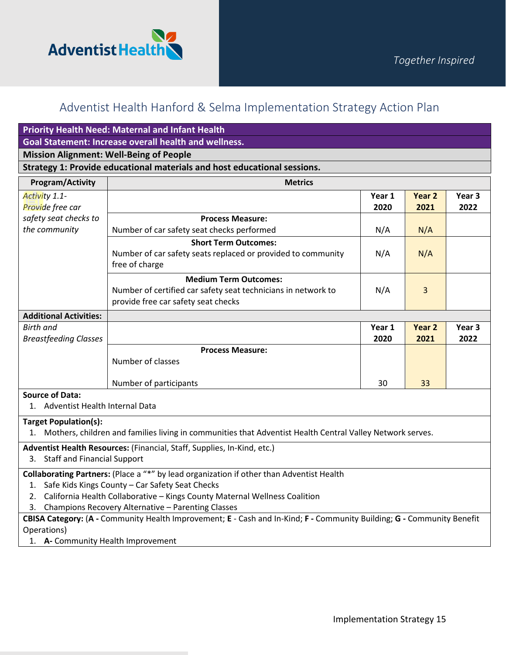

| <b>Priority Health Need: Maternal and Infant Health</b>                                                                |                                                                                                              |        |        |                   |
|------------------------------------------------------------------------------------------------------------------------|--------------------------------------------------------------------------------------------------------------|--------|--------|-------------------|
| <b>Goal Statement: Increase overall health and wellness.</b>                                                           |                                                                                                              |        |        |                   |
| <b>Mission Alignment: Well-Being of People</b>                                                                         |                                                                                                              |        |        |                   |
|                                                                                                                        | Strategy 1: Provide educational materials and host educational sessions.                                     |        |        |                   |
| <b>Program/Activity</b>                                                                                                | <b>Metrics</b>                                                                                               |        |        |                   |
| Activity 1.1-                                                                                                          |                                                                                                              | Year 1 | Year 2 | Year 3            |
| Provide free car                                                                                                       |                                                                                                              | 2020   | 2021   | 2022              |
| safety seat checks to                                                                                                  | <b>Process Measure:</b>                                                                                      |        |        |                   |
| the community                                                                                                          | Number of car safety seat checks performed                                                                   | N/A    | N/A    |                   |
|                                                                                                                        | <b>Short Term Outcomes:</b>                                                                                  |        |        |                   |
|                                                                                                                        | Number of car safety seats replaced or provided to community<br>free of charge                               | N/A    | N/A    |                   |
|                                                                                                                        | <b>Medium Term Outcomes:</b>                                                                                 |        |        |                   |
|                                                                                                                        | Number of certified car safety seat technicians in network to                                                | N/A    | 3      |                   |
|                                                                                                                        | provide free car safety seat checks                                                                          |        |        |                   |
| <b>Additional Activities:</b>                                                                                          |                                                                                                              |        |        |                   |
| <b>Birth and</b>                                                                                                       |                                                                                                              | Year 1 | Year 2 | Year <sub>3</sub> |
| <b>Breastfeeding Classes</b>                                                                                           |                                                                                                              | 2020   | 2021   | 2022              |
|                                                                                                                        | <b>Process Measure:</b>                                                                                      |        |        |                   |
|                                                                                                                        | Number of classes                                                                                            |        |        |                   |
|                                                                                                                        | Number of participants                                                                                       | 30     | 33     |                   |
| <b>Source of Data:</b>                                                                                                 |                                                                                                              |        |        |                   |
| 1. Adventist Health Internal Data                                                                                      |                                                                                                              |        |        |                   |
| <b>Target Population(s):</b>                                                                                           |                                                                                                              |        |        |                   |
|                                                                                                                        | 1. Mothers, children and families living in communities that Adventist Health Central Valley Network serves. |        |        |                   |
|                                                                                                                        | Adventist Health Resources: (Financial, Staff, Supplies, In-Kind, etc.)                                      |        |        |                   |
| 3. Staff and Financial Support                                                                                         |                                                                                                              |        |        |                   |
|                                                                                                                        | Collaborating Partners: (Place a "*" by lead organization if other than Adventist Health                     |        |        |                   |
| Safe Kids Kings County - Car Safety Seat Checks<br>1.                                                                  |                                                                                                              |        |        |                   |
| California Health Collaborative - Kings County Maternal Wellness Coalition<br>2.                                       |                                                                                                              |        |        |                   |
| Champions Recovery Alternative - Parenting Classes<br>3.                                                               |                                                                                                              |        |        |                   |
| CBISA Category: (A - Community Health Improvement; E - Cash and In-Kind; F - Community Building; G - Community Benefit |                                                                                                              |        |        |                   |
| Operations)                                                                                                            |                                                                                                              |        |        |                   |
| 1. A- Community Health Improvement                                                                                     |                                                                                                              |        |        |                   |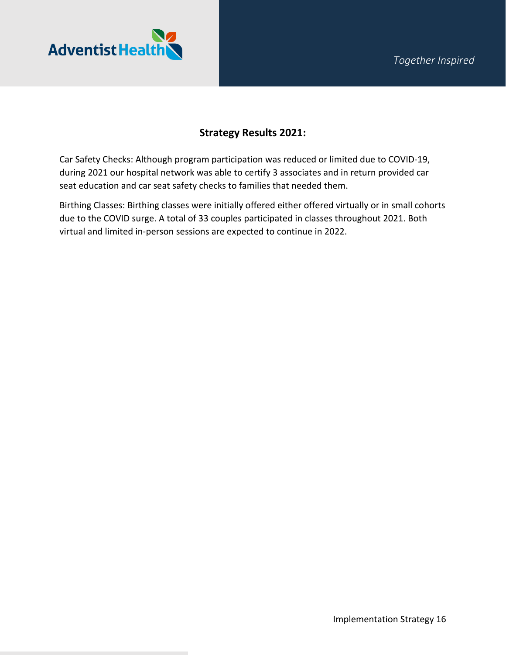

### **Strategy Results 2021:**

Car Safety Checks: Although program participation was reduced or limited due to COVID-19, during 2021 our hospital network was able to certify 3 associates and in return provided car seat education and car seat safety checks to families that needed them.

Birthing Classes: Birthing classes were initially offered either offered virtually or in small cohorts due to the COVID surge. A total of 33 couples participated in classes throughout 2021. Both virtual and limited in-person sessions are expected to continue in 2022.